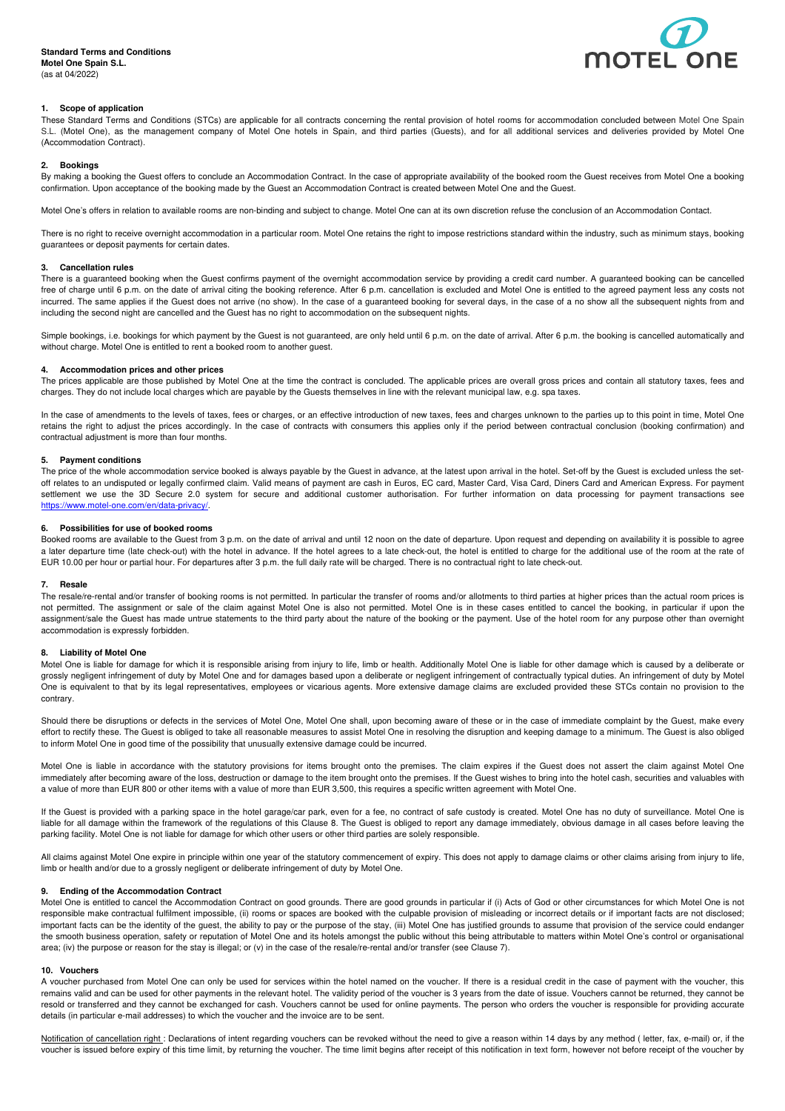

# **1. Scope of application**

These Standard Terms and Conditions (STCs) are applicable for all contracts concerning the rental provision of hotel rooms for accommodation concluded between Motel One Spain S.L. (Motel One), as the management company of Motel One hotels in Spain, and third parties (Guests), and for all additional services and deliveries provided by Motel One (Accommodation Contract).

### **2. Bookings**

By making a booking the Guest offers to conclude an Accommodation Contract. In the case of appropriate availability of the booked room the Guest receives from Motel One a booking confirmation. Upon acceptance of the booking made by the Guest an Accommodation Contract is created between Motel One and the Guest.

Motel One's offers in relation to available rooms are non-binding and subject to change. Motel One can at its own discretion refuse the conclusion of an Accommodation Contact.

There is no right to receive overnight accommodation in a particular room. Motel One retains the right to impose restrictions standard within the industry, such as minimum stays, booking guarantees or deposit payments for certain dates.

# **3. Cancellation rules**

There is a guaranteed booking when the Guest confirms payment of the overnight accommodation service by providing a credit card number. A guaranteed booking can be cancelled free of charge until 6 p.m. on the date of arrival citing the booking reference. After 6 p.m. cancellation is excluded and Motel One is entitled to the agreed payment less any costs not incurred. The same applies if the Guest does not arrive (no show). In the case of a guaranteed booking for several days, in the case of a no show all the subsequent nights from and including the second night are cancelled and the Guest has no right to accommodation on the subsequent nights.

Simple bookings, i.e. bookings for which payment by the Guest is not guaranteed, are only held until 6 p.m. on the date of arrival. After 6 p.m. the booking is cancelled automatically and without charge. Motel One is entitled to rent a booked room to another guest.

### **4. Accommodation prices and other prices**

The prices applicable are those published by Motel One at the time the contract is concluded. The applicable prices are overall gross prices and contain all statutory taxes, fees and charges. They do not include local charges which are payable by the Guests themselves in line with the relevant municipal law, e.g. spa taxes.

In the case of amendments to the levels of taxes, fees or charges, or an effective introduction of new taxes, fees and charges unknown to the parties up to this point in time, Motel One retains the right to adjust the prices accordingly. In the case of contracts with consumers this applies only if the period between contractual conclusion (booking confirmation) and contractual adjustment is more than four months.

## **5. Payment conditions**

The price of the whole accommodation service booked is always payable by the Guest in advance, at the latest upon arrival in the hotel. Set-off by the Guest is excluded unless the setoff relates to an undisputed or legally confirmed claim. Valid means of payment are cash in Euros, EC card, Master Card, Visa Card, Diners Card and American Express. For payment settlement we use the 3D Secure 2.0 system for secure and additional customer authorisation. For further information on data processing for payment transactions see https://www.motel-one.com/en/data-privacy/.

### **6. Possibilities for use of booked rooms**

Booked rooms are available to the Guest from 3 p.m. on the date of arrival and until 12 noon on the date of departure. Upon request and depending on availability it is possible to agree a later departure time (late check-out) with the hotel in advance. If the hotel agrees to a late check-out, the hotel is entitled to charge for the additional use of the room at the rate of EUR 10.00 per hour or partial hour. For departures after 3 p.m. the full daily rate will be charged. There is no contractual right to late check-out.

### **7. Resale**

The resale/re-rental and/or transfer of booking rooms is not permitted. In particular the transfer of rooms and/or allotments to third parties at higher prices than the actual room prices is not permitted. The assignment or sale of the claim against Motel One is also not permitted. Motel One is in these cases entitled to cancel the booking, in particular if upon the assignment/sale the Guest has made untrue statements to the third party about the nature of the booking or the payment. Use of the hotel room for any purpose other than overnight accommodation is expressly forbidden.

### **8. Liability of Motel One**

Motel One is liable for damage for which it is responsible arising from injury to life, limb or health. Additionally Motel One is liable for other damage which is caused by a deliberate or grossly negligent infringement of duty by Motel One and for damages based upon a deliberate or negligent infringement of contractually typical duties. An infringement of duty by Motel One is equivalent to that by its legal representatives, employees or vicarious agents. More extensive damage claims are excluded provided these STCs contain no provision to the contrary.

Should there be disruptions or defects in the services of Motel One, Motel One shall, upon becoming aware of these or in the case of immediate complaint by the Guest, make every effort to rectify these. The Guest is obliged to take all reasonable measures to assist Motel One in resolving the disruption and keeping damage to a minimum. The Guest is also obliged to inform Motel One in good time of the possibility that unusually extensive damage could be incurred.

Motel One is liable in accordance with the statutory provisions for items brought onto the premises. The claim expires if the Guest does not assert the claim against Motel One immediately after becoming aware of the loss, destruction or damage to the item brought onto the premises. If the Guest wishes to bring into the hotel cash, securities and valuables with a value of more than EUR 800 or other items with a value of more than EUR 3,500, this requires a specific written agreement with Motel One.

If the Guest is provided with a parking space in the hotel garage/car park, even for a fee, no contract of safe custody is created. Motel One has no duty of surveillance. Motel One is liable for all damage within the framework of the regulations of this Clause 8. The Guest is obliged to report any damage immediately, obvious damage in all cases before leaving the parking facility. Motel One is not liable for damage for which other users or other third parties are solely responsible.

All claims against Motel One expire in principle within one year of the statutory commencement of expiry. This does not apply to damage claims or other claims arising from injury to life, limb or health and/or due to a grossly negligent or deliberate infringement of duty by Motel One.

### **9. Ending of the Accommodation Contract**

Motel One is entitled to cancel the Accommodation Contract on good grounds. There are good grounds in particular if (i) Acts of God or other circumstances for which Motel One is not responsible make contractual fulfilment impossible, (ii) rooms or spaces are booked with the culpable provision of misleading or incorrect details or if important facts are not disclosed; important facts can be the identity of the guest, the ability to pay or the purpose of the stay, (iii) Motel One has justified grounds to assume that provision of the service could endanger the smooth business operation, safety or reputation of Motel One and its hotels amongst the public without this being attributable to matters within Motel One's control or organisational area; (iv) the purpose or reason for the stay is illegal; or (v) in the case of the resale/re-rental and/or transfer (see Clause 7).

#### **10. Vouchers**

A voucher purchased from Motel One can only be used for services within the hotel named on the voucher. If there is a residual credit in the case of payment with the voucher, this remains valid and can be used for other payments in the relevant hotel. The validity period of the voucher is 3 years from the date of issue. Vouchers cannot be returned, they cannot be resold or transferred and they cannot be exchanged for cash. Vouchers cannot be used for online payments. The person who orders the voucher is responsible for providing accurate details (in particular e-mail addresses) to which the voucher and the invoice are to be sent.

Notification of cancellation right : Declarations of intent regarding vouchers can be revoked without the need to give a reason within 14 days by any method (letter, fax, e-mail) or, if the voucher is issued before expiry of this time limit, by returning the voucher. The time limit begins after receipt of this notification in text form, however not before receipt of the voucher by